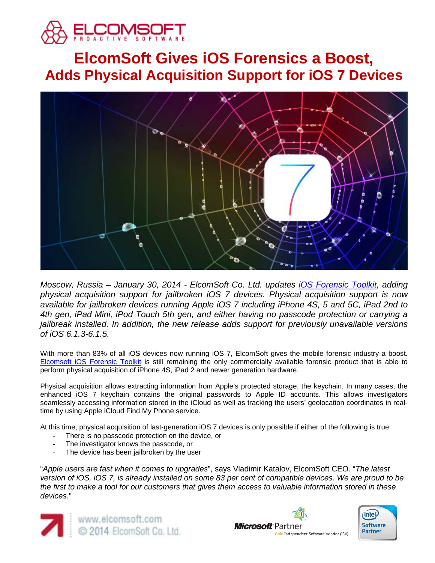

# **ElcomSoft Gives iOS Forensics a Boost, Adds Physical Acquisition Support for iOS 7 Devices**



*Moscow, Russia – January 30, 2014 - ElcomSoft Co. Ltd. updates [iOS Forensic Toolkit,](http://www.elcomsoft.com/eift.html) adding physical acquisition support for jailbroken iOS 7 devices. Physical acquisition support is now available for jailbroken devices running Apple iOS 7 including iPhone 4S, 5 and 5C, iPad 2nd to 4th gen, iPad Mini, iPod Touch 5th gen, and either having no passcode protection or carrying a jailbreak installed. In addition, the new release adds support for previously unavailable versions of iOS 6.1.3-6.1.5.*

With more than 83% of all iOS devices now running iOS 7, ElcomSoft gives the mobile forensic industry a boost. [Elcomsoft iOS Forensic Toolkit](http://www.elcomsoft.com/eift.html) is still remaining the only commercially available forensic product that is able to perform physical acquisition of iPhone 4S, iPad 2 and newer generation hardware.

Physical acquisition allows extracting information from Apple's protected storage, the keychain. In many cases, the enhanced iOS 7 keychain contains the original passwords to Apple ID accounts. This allows investigators seamlessly accessing information stored in the iCloud as well as tracking the users' geolocation coordinates in realtime by using Apple iCloud Find My Phone service.

At this time, physical acquisition of last-generation iOS 7 devices is only possible if either of the following is true:

- There is no passcode protection on the device, or
- The investigator knows the passcode, or
- The device has been jailbroken by the user

"*Apple users are fast when it comes to upgrades*", says Vladimir Katalov, ElcomSoft CEO. "*The latest version of iOS, iOS 7, is already installed on some 83 per cent of compatible devices. We are proud to be the first to make a tool for our customers that gives them access to valuable information stored in these devices.*"





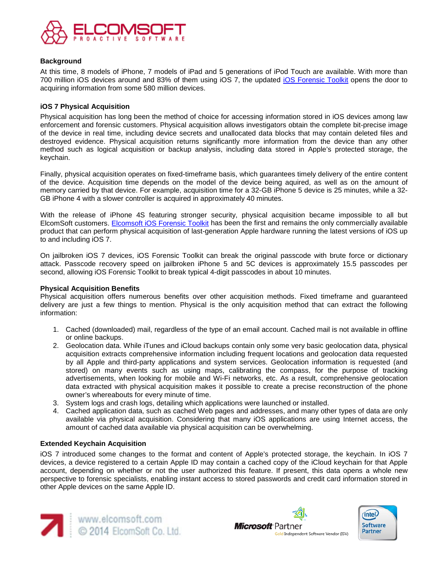

### **Background**

At this time, 8 models of iPhone, 7 models of iPad and 5 generations of iPod Touch are available. With more than 700 million iOS devices around and 83% of them using iOS 7, the updated [iOS Forensic Toolkit](http://www.elcomsoft.com/eift.html) opens the door to acquiring information from some 580 million devices.

## **iOS 7 Physical Acquisition**

Physical acquisition has long been the method of choice for accessing information stored in iOS devices among law enforcement and forensic customers. Physical acquisition allows investigators obtain the complete bit-precise image of the device in real time, including device secrets and unallocated data blocks that may contain deleted files and destroyed evidence. Physical acquisition returns significantly more information from the device than any other method such as logical acquisition or backup analysis, including data stored in Apple's protected storage, the keychain.

Finally, physical acquisition operates on fixed-timeframe basis, which guarantees timely delivery of the entire content of the device. Acquisition time depends on the model of the device being aquired, as well as on the amount of memory carried by that device. For example, acquisition time for a 32-GB iPhone 5 device is 25 minutes, while a 32- GB iPhone 4 with a slower controller is acquired in approximately 40 minutes.

With the release of iPhone 4S featuring stronger security, physical acquisition became impossible to all but ElcomSoft customers. [Elcomsoft iOS Forensic Toolkit](http://www.elcomsoft.com/eift.html) has been the first and remains the only commercially available product that can perform physical acquisition of last-generation Apple hardware running the latest versions of iOS up to and including iOS 7.

On jailbroken iOS 7 devices, iOS Forensic Toolkit can break the original passcode with brute force or dictionary attack. Passcode recovery speed on jailbroken iPhone 5 and 5C devices is approximately 15.5 passcodes per second, allowing iOS Forensic Toolkit to break typical 4-digit passcodes in about 10 minutes.

### **Physical Acquisition Benefits**

Physical acquisition offers numerous benefits over other acquisition methods. Fixed timeframe and guaranteed delivery are just a few things to mention. Physical is the only acquisition method that can extract the following information:

- 1. Cached (downloaded) mail, regardless of the type of an email account. Cached mail is not available in offline or online backups.
- 2. Geolocation data. While iTunes and iCloud backups contain only some very basic geolocation data, physical acquisition extracts comprehensive information including frequent locations and geolocation data requested by all Apple and third-party applications and system services. Geolocation information is requested (and stored) on many events such as using maps, calibrating the compass, for the purpose of tracking advertisements, when looking for mobile and Wi-Fi networks, etc. As a result, comprehensive geolocation data extracted with physical acquisition makes it possible to create a precise reconstruction of the phone owner's whereabouts for every minute of time.
- 3. System logs and crash logs, detailing which applications were launched or installed.
- 4. Cached application data, such as cached Web pages and addresses, and many other types of data are only available via physical acquisition. Considering that many iOS applications are using Internet access, the amount of cached data available via physical acquisition can be overwhelming.

### **Extended Keychain Acquisition**

iOS 7 introduced some changes to the format and content of Apple's protected storage, the keychain. In iOS 7 devices, a device registered to a certain Apple ID may contain a cached copy of the iCloud keychain for that Apple account, depending on whether or not the user authorized this feature. If present, this data opens a whole new perspective to forensic specialists, enabling instant access to stored passwords and credit card information stored in other Apple devices on the same Apple ID.